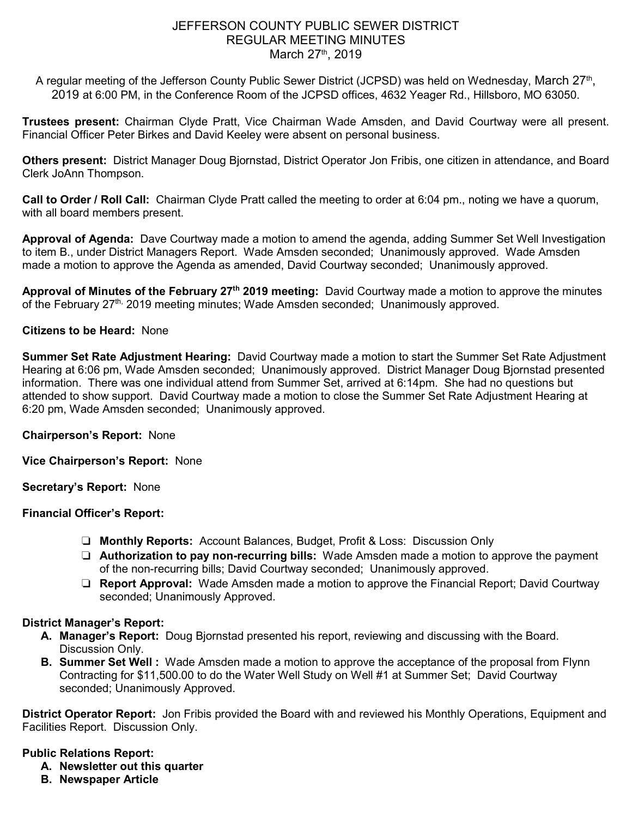# JEFFERSON COUNTY PUBLIC SEWER DISTRICT REGULAR MEETING MINUTES March 27<sup>th</sup>, 2019

A regular meeting of the Jefferson County Public Sewer District (JCPSD) was held on Wednesday, March 27th, 2019 at 6:00 PM, in the Conference Room of the JCPSD offices, 4632 Yeager Rd., Hillsboro, MO 63050.

**Trustees present:** Chairman Clyde Pratt, Vice Chairman Wade Amsden, and David Courtway were all present. Financial Officer Peter Birkes and David Keeley were absent on personal business.

**Others present:** District Manager Doug Bjornstad, District Operator Jon Fribis, one citizen in attendance, and Board Clerk JoAnn Thompson.

**Call to Order / Roll Call:** Chairman Clyde Pratt called the meeting to order at 6:04 pm., noting we have a quorum, with all board members present.

**Approval of Agenda:** Dave Courtway made a motion to amend the agenda, adding Summer Set Well Investigation to item B., under District Managers Report. Wade Amsden seconded; Unanimously approved. Wade Amsden made a motion to approve the Agenda as amended, David Courtway seconded; Unanimously approved.

**Approval of Minutes of the February 27th 2019 meeting:** David Courtway made a motion to approve the minutes of the February 27<sup>th,</sup> 2019 meeting minutes; Wade Amsden seconded; Unanimously approved.

## **Citizens to be Heard:** None

**Summer Set Rate Adjustment Hearing:** David Courtway made a motion to start the Summer Set Rate Adjustment Hearing at 6:06 pm, Wade Amsden seconded; Unanimously approved. District Manager Doug Bjornstad presented information. There was one individual attend from Summer Set, arrived at 6:14pm. She had no questions but attended to show support. David Courtway made a motion to close the Summer Set Rate Adjustment Hearing at 6:20 pm, Wade Amsden seconded; Unanimously approved.

**Chairperson's Report:** None

**Vice Chairperson's Report:** None

**Secretary's Report:** None

### **Financial Officer's Report:**

- ❏ **Monthly Reports:** Account Balances, Budget, Profit & Loss: Discussion Only
- ❏ **Authorization to pay non-recurring bills:** Wade Amsden made a motion to approve the payment of the non-recurring bills; David Courtway seconded; Unanimously approved.
- ❏ **Report Approval:** Wade Amsden made a motion to approve the Financial Report; David Courtway seconded; Unanimously Approved.

### **District Manager's Report:**

- **A. Manager's Report:** Doug Bjornstad presented his report, reviewing and discussing with the Board. Discussion Only.
- **B. Summer Set Well :** Wade Amsden made a motion to approve the acceptance of the proposal from Flynn Contracting for \$11,500.00 to do the Water Well Study on Well #1 at Summer Set; David Courtway seconded; Unanimously Approved.

**District Operator Report:** Jon Fribis provided the Board with and reviewed his Monthly Operations, Equipment and Facilities Report. Discussion Only.

### **Public Relations Report:**

- **A. Newsletter out this quarter**
- **B. Newspaper Article**